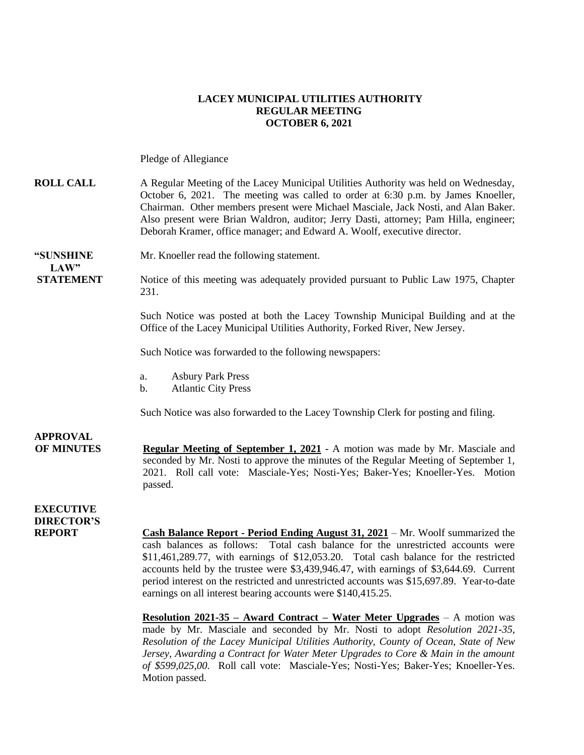#### **LACEY MUNICIPAL UTILITIES AUTHORITY REGULAR MEETING OCTOBER 6, 2021**

Pledge of Allegiance

### **ROLL CALL** A Regular Meeting of the Lacey Municipal Utilities Authority was held on Wednesday, October 6, 2021. The meeting was called to order at 6:30 p.m. by James Knoeller, Chairman. Other members present were Michael Masciale, Jack Nosti, and Alan Baker. Also present were Brian Waldron, auditor; Jerry Dasti, attorney; Pam Hilla, engineer; Deborah Kramer, office manager; and Edward A. Woolf, executive director.

# **LAW"**

**"SUNSHINE** Mr. Knoeller read the following statement.

**STATEMENT** Notice of this meeting was adequately provided pursuant to Public Law 1975, Chapter 231.

> Such Notice was posted at both the Lacey Township Municipal Building and at the Office of the Lacey Municipal Utilities Authority, Forked River, New Jersey.

Such Notice was forwarded to the following newspapers:

- a. Asbury Park Press
- b. Atlantic City Press

Such Notice was also forwarded to the Lacey Township Clerk for posting and filing.

### **APPROVAL OF MINUTES Regular Meeting of September 1, 2021** - A motion was made by Mr. Masciale and seconded by Mr. Nosti to approve the minutes of the Regular Meeting of September 1, 2021. Roll call vote: Masciale-Yes; Nosti-Yes; Baker-Yes; Knoeller-Yes. Motion passed.

**EXECUTIVE DIRECTOR'S**

**Cash Balance Report - Period Ending August 31, 2021 – Mr. Woolf summarized the** cash balances as follows: Total cash balance for the unrestricted accounts were \$11,461,289.77, with earnings of \$12,053.20. Total cash balance for the restricted accounts held by the trustee were \$3,439,946.47, with earnings of \$3,644.69. Current period interest on the restricted and unrestricted accounts was \$15,697.89. Year-to-date earnings on all interest bearing accounts were \$140,415.25.

**Resolution 2021-35 – Award Contract – Water Meter Upgrades** – A motion was made by Mr. Masciale and seconded by Mr. Nosti to adopt *Resolution 2021-35, Resolution of the Lacey Municipal Utilities Authority, County of Ocean, State of New Jersey, Awarding a Contract for Water Meter Upgrades to Core & Main in the amount of \$599,025,00.* Roll call vote: Masciale-Yes; Nosti-Yes; Baker-Yes; Knoeller-Yes. Motion passed.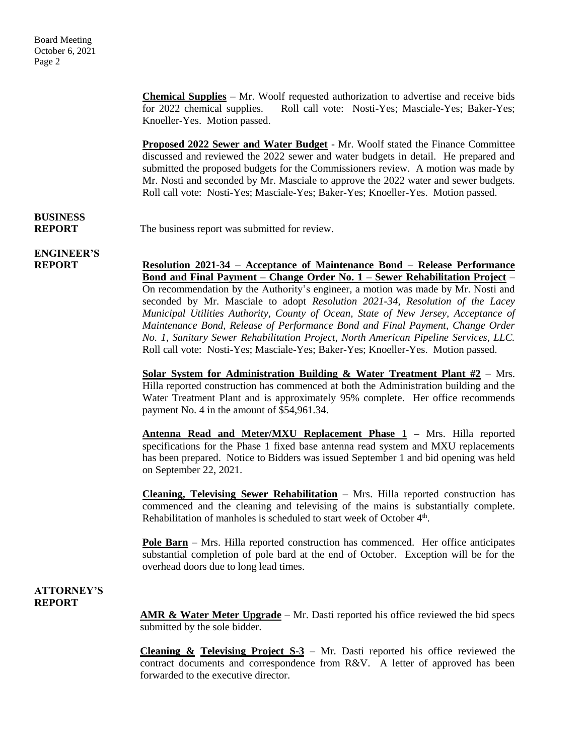**Chemical Supplies** – Mr. Woolf requested authorization to advertise and receive bids for 2022 chemical supplies. Roll call vote: Nosti-Yes; Masciale-Yes; Baker-Yes; Knoeller-Yes. Motion passed.

**Proposed 2022 Sewer and Water Budget** - Mr. Woolf stated the Finance Committee discussed and reviewed the 2022 sewer and water budgets in detail. He prepared and submitted the proposed budgets for the Commissioners review. A motion was made by Mr. Nosti and seconded by Mr. Masciale to approve the 2022 water and sewer budgets. Roll call vote: Nosti-Yes; Masciale-Yes; Baker-Yes; Knoeller-Yes. Motion passed.

## **BUSINESS**

**REPORT** The business report was submitted for review.

**ENGINEER'S**

**REPORT Resolution 2021-34 – Acceptance of Maintenance Bond – Release Performance Bond and Final Payment – Change Order No. 1 – Sewer Rehabilitation Project** – On recommendation by the Authority's engineer, a motion was made by Mr. Nosti and seconded by Mr. Masciale to adopt *Resolution 2021-34, Resolution of the Lacey Municipal Utilities Authority, County of Ocean, State of New Jersey, Acceptance of Maintenance Bond, Release of Performance Bond and Final Payment, Change Order No. 1, Sanitary Sewer Rehabilitation Project, North American Pipeline Services, LLC.*  Roll call vote: Nosti-Yes; Masciale-Yes; Baker-Yes; Knoeller-Yes. Motion passed.

> **Solar System for Administration Building & Water Treatment Plant #2** – Mrs. Hilla reported construction has commenced at both the Administration building and the Water Treatment Plant and is approximately 95% complete. Her office recommends payment No. 4 in the amount of \$54,961.34.

> **Antenna Read and Meter/MXU Replacement Phase 1 –** Mrs. Hilla reported specifications for the Phase 1 fixed base antenna read system and MXU replacements has been prepared. Notice to Bidders was issued September 1 and bid opening was held on September 22, 2021.

> **Cleaning, Televising Sewer Rehabilitation** – Mrs. Hilla reported construction has commenced and the cleaning and televising of the mains is substantially complete. Rehabilitation of manholes is scheduled to start week of October 4<sup>th</sup>.

> **Pole Barn** – Mrs. Hilla reported construction has commenced. Her office anticipates substantial completion of pole bard at the end of October. Exception will be for the overhead doors due to long lead times.

### **ATTORNEY'S REPORT**

**AMR & Water Meter Upgrade** – Mr. Dasti reported his office reviewed the bid specs submitted by the sole bidder.

**Cleaning & Televising Project S-3** – Mr. Dasti reported his office reviewed the contract documents and correspondence from R&V. A letter of approved has been forwarded to the executive director.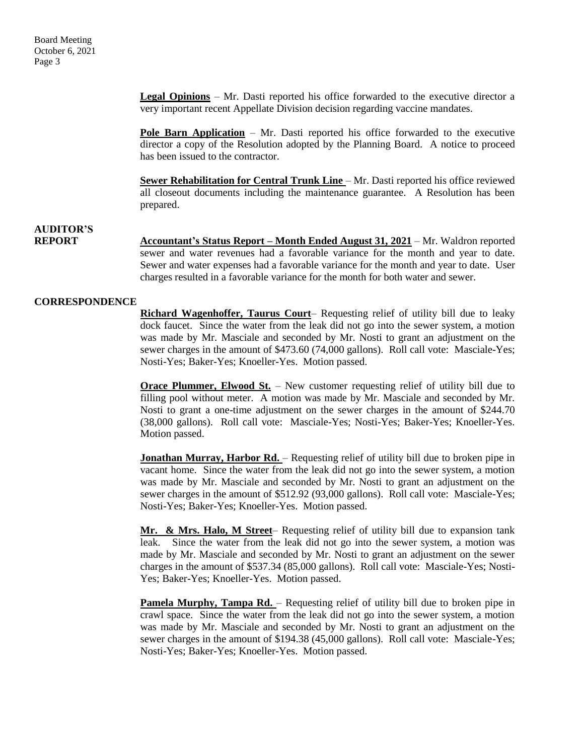**Legal Opinions** – Mr. Dasti reported his office forwarded to the executive director a very important recent Appellate Division decision regarding vaccine mandates.

**Pole Barn Application** – Mr. Dasti reported his office forwarded to the executive director a copy of the Resolution adopted by the Planning Board. A notice to proceed has been issued to the contractor.

**Sewer Rehabilitation for Central Trunk Line** – Mr. Dasti reported his office reviewed all closeout documents including the maintenance guarantee. A Resolution has been prepared.

### **AUDITOR'S**

**REPORT Accountant's Status Report – Month Ended August 31, 2021** – Mr. Waldron reported sewer and water revenues had a favorable variance for the month and year to date. Sewer and water expenses had a favorable variance for the month and year to date. User charges resulted in a favorable variance for the month for both water and sewer.

### **CORRESPONDENCE**

**Richard Wagenhoffer, Taurus Court**– Requesting relief of utility bill due to leaky dock faucet. Since the water from the leak did not go into the sewer system, a motion was made by Mr. Masciale and seconded by Mr. Nosti to grant an adjustment on the sewer charges in the amount of \$473.60 (74,000 gallons). Roll call vote: Masciale-Yes; Nosti-Yes; Baker-Yes; Knoeller-Yes. Motion passed.

**Orace Plummer, Elwood St.** – New customer requesting relief of utility bill due to filling pool without meter. A motion was made by Mr. Masciale and seconded by Mr. Nosti to grant a one-time adjustment on the sewer charges in the amount of \$244.70 (38,000 gallons). Roll call vote: Masciale-Yes; Nosti-Yes; Baker-Yes; Knoeller-Yes. Motion passed.

**Jonathan Murray, Harbor Rd.** – Requesting relief of utility bill due to broken pipe in vacant home. Since the water from the leak did not go into the sewer system, a motion was made by Mr. Masciale and seconded by Mr. Nosti to grant an adjustment on the sewer charges in the amount of \$512.92 (93,000 gallons). Roll call vote: Masciale-Yes; Nosti-Yes; Baker-Yes; Knoeller-Yes. Motion passed.

**Mr. & Mrs. Halo, M Street**– Requesting relief of utility bill due to expansion tank leak. Since the water from the leak did not go into the sewer system, a motion was made by Mr. Masciale and seconded by Mr. Nosti to grant an adjustment on the sewer charges in the amount of \$537.34 (85,000 gallons). Roll call vote: Masciale-Yes; Nosti-Yes; Baker-Yes; Knoeller-Yes. Motion passed.

Pamela Murphy, Tampa Rd. - Requesting relief of utility bill due to broken pipe in crawl space. Since the water from the leak did not go into the sewer system, a motion was made by Mr. Masciale and seconded by Mr. Nosti to grant an adjustment on the sewer charges in the amount of \$194.38 (45,000 gallons). Roll call vote: Masciale-Yes; Nosti-Yes; Baker-Yes; Knoeller-Yes. Motion passed.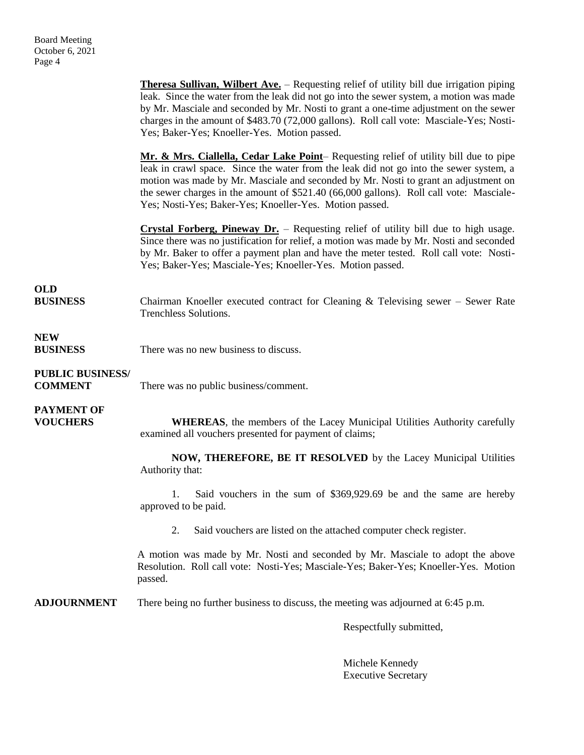**Theresa Sullivan, Wilbert Ave.** – Requesting relief of utility bill due irrigation piping leak. Since the water from the leak did not go into the sewer system, a motion was made by Mr. Masciale and seconded by Mr. Nosti to grant a one-time adjustment on the sewer charges in the amount of \$483.70 (72,000 gallons). Roll call vote: Masciale-Yes; Nosti-Yes; Baker-Yes; Knoeller-Yes. Motion passed. **Mr. & Mrs. Ciallella, Cedar Lake Point**– Requesting relief of utility bill due to pipe leak in crawl space. Since the water from the leak did not go into the sewer system, a motion was made by Mr. Masciale and seconded by Mr. Nosti to grant an adjustment on the sewer charges in the amount of \$521.40 (66,000 gallons). Roll call vote: Masciale-Yes; Nosti-Yes; Baker-Yes; Knoeller-Yes. Motion passed. **Crystal Forberg, Pineway Dr.** – Requesting relief of utility bill due to high usage. Since there was no justification for relief, a motion was made by Mr. Nosti and seconded by Mr. Baker to offer a payment plan and have the meter tested. Roll call vote: Nosti-Yes; Baker-Yes; Masciale-Yes; Knoeller-Yes. Motion passed. **OLD**<br>BUSINESS Chairman Knoeller executed contract for Cleaning & Televising sewer – Sewer Rate Trenchless Solutions. **NEW BUSINESS** There was no new business to discuss. **PUBLIC BUSINESS/ COMMENT** There was no public business/comment. **PAYMENT OF VOUCHERS WHEREAS**, the members of the Lacey Municipal Utilities Authority carefully examined all vouchers presented for payment of claims; **NOW, THEREFORE, BE IT RESOLVED** by the Lacey Municipal Utilities Authority that: 1. Said vouchers in the sum of \$369,929.69 be and the same are hereby approved to be paid. 2. Said vouchers are listed on the attached computer check register. A motion was made by Mr. Nosti and seconded by Mr. Masciale to adopt the above Resolution. Roll call vote: Nosti-Yes; Masciale-Yes; Baker-Yes; Knoeller-Yes. Motion passed. **ADJOURNMENT** There being no further business to discuss, the meeting was adjourned at 6:45 p.m. Respectfully submitted,

> Michele Kennedy Executive Secretary